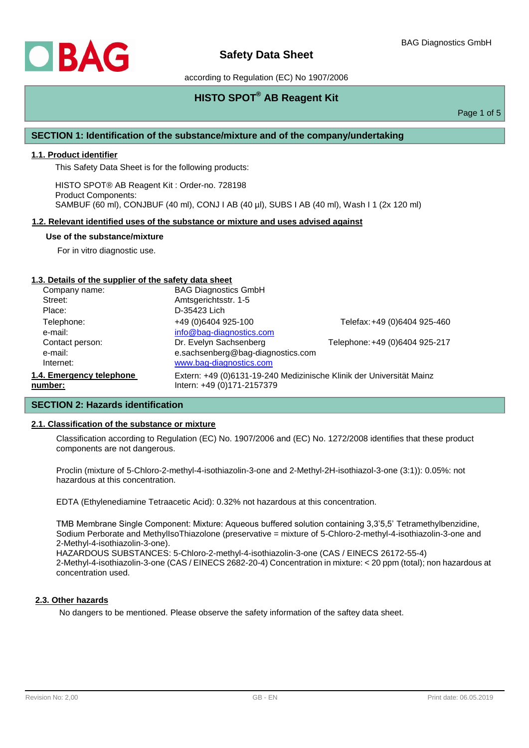

according to Regulation (EC) No 1907/2006

# **HISTO SPOT® AB Reagent Kit**

Page 1 of 5

# **SECTION 1: Identification of the substance/mixture and of the company/undertaking**

## **1.1. Product identifier**

This Safety Data Sheet is for the following products:

HISTO SPOT® AB Reagent Kit : Order-no. 728198 Product Components: SAMBUF (60 ml), CONJBUF (40 ml), CONJ I AB (40 µl), SUBS I AB (40 ml), Wash I 1 (2x 120 ml)

### **1.2. Relevant identified uses of the substance or mixture and uses advised against**

#### **Use of the substance/mixture**

For in vitro diagnostic use.

## **1.3. Details of the supplier of the safety data sheet**

| Company name:<br>Street:<br>Place:      | <b>BAG Diagnostics GmbH</b><br>Amtsgerichtsstr. 1-5<br>D-35423 Lich                                |                                |
|-----------------------------------------|----------------------------------------------------------------------------------------------------|--------------------------------|
| Telephone:<br>e-mail:                   | +49 (0)6404 925-100<br>info@bag-diagnostics.com                                                    | Telefax: +49 (0)6404 925-460   |
| Contact person:<br>e-mail:<br>Internet: | Dr. Evelyn Sachsenberg<br>e.sachsenberg@bag-diagnostics.com<br>www.bag-diagnostics.com             | Telephone: +49 (0)6404 925-217 |
| 1.4. Emergency telephone<br>number:     | Extern: +49 (0)6131-19-240 Medizinische Klinik der Universität Mainz<br>Intern: +49 (0)171-2157379 |                                |

# **SECTION 2: Hazards identification**

## **2.1. Classification of the substance or mixture**

Classification according to Regulation (EC) No. 1907/2006 and (EC) No. 1272/2008 identifies that these product components are not dangerous.

Proclin (mixture of 5-Chloro-2-methyl-4-isothiazolin-3-one and 2-Methyl-2H-isothiazol-3-one (3:1)): 0.05%: not hazardous at this concentration.

EDTA (Ethylenediamine Tetraacetic Acid): 0.32% not hazardous at this concentration.

TMB Membrane Single Component: Mixture: Aqueous buffered solution containing 3,3'5,5' Tetramethylbenzidine, Sodium Perborate and MethylIsoThiazolone (preservative = mixture of 5-Chloro-2-methyl-4-isothiazolin-3-one and 2-Methyl-4-isothiazolin-3-one).

HAZARDOUS SUBSTANCES: 5-Chloro-2-methyl-4-isothiazolin-3-one (CAS / EINECS 26172-55-4) 2-Methyl-4-isothiazolin-3-one (CAS / EINECS 2682-20-4) Concentration in mixture: < 20 ppm (total); non hazardous at concentration used.

## **2.3. Other hazards**

No dangers to be mentioned. Please observe the safety information of the saftey data sheet.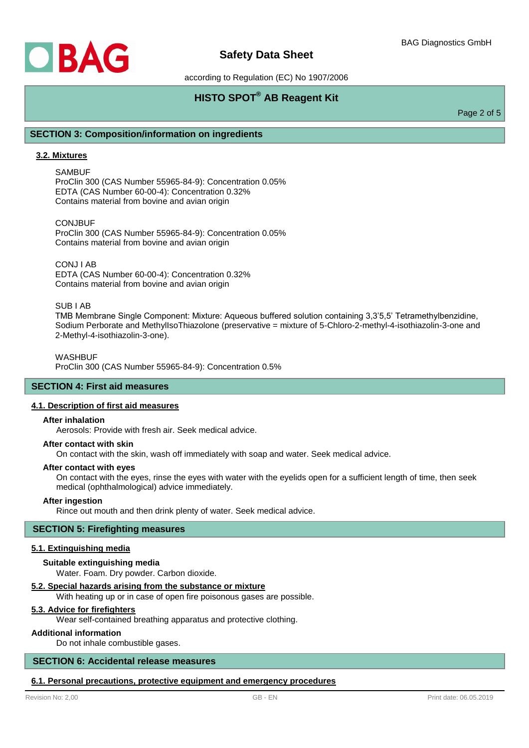

according to Regulation (EC) No 1907/2006

# **HISTO SPOT® AB Reagent Kit**

Page 2 of 5

## **SECTION 3: Composition/information on ingredients**

## **3.2. Mixtures**

## **SAMBUF**

ProClin 300 (CAS Number 55965-84-9): Concentration 0.05% EDTA (CAS Number 60-00-4): Concentration 0.32% Contains material from bovine and avian origin

#### **CONJBUF**

ProClin 300 (CAS Number 55965-84-9): Concentration 0.05% Contains material from bovine and avian origin

CONJ I AB

EDTA (CAS Number 60-00-4): Concentration 0.32% Contains material from bovine and avian origin

#### SUB I AB

TMB Membrane Single Component: Mixture: Aqueous buffered solution containing 3,3'5,5' Tetramethylbenzidine, Sodium Perborate and MethylIsoThiazolone (preservative = mixture of 5-Chloro-2-methyl-4-isothiazolin-3-one and 2-Methyl-4-isothiazolin-3-one).

**WASHBUF** 

ProClin 300 (CAS Number 55965-84-9): Concentration 0.5%

## **SECTION 4: First aid measures**

#### **4.1. Description of first aid measures**

#### **After inhalation**

Aerosols: Provide with fresh air. Seek medical advice.

## **After contact with skin**

On contact with the skin, wash off immediately with soap and water. Seek medical advice.

#### **After contact with eyes**

On contact with the eyes, rinse the eyes with water with the eyelids open for a sufficient length of time, then seek medical (ophthalmological) advice immediately.

## **After ingestion**

Rince out mouth and then drink plenty of water. Seek medical advice.

# **SECTION 5: Firefighting measures**

## **5.1. Extinguishing media**

### **Suitable extinguishing media**

Water. Foam. Dry powder. Carbon dioxide.

## **5.2. Special hazards arising from the substance or mixture**

With heating up or in case of open fire poisonous gases are possible.

#### **5.3. Advice for firefighters**

Wear self-contained breathing apparatus and protective clothing.

## **Additional information**

Do not inhale combustible gases.

# **SECTION 6: Accidental release measures**

# **6.1. Personal precautions, protective equipment and emergency procedures**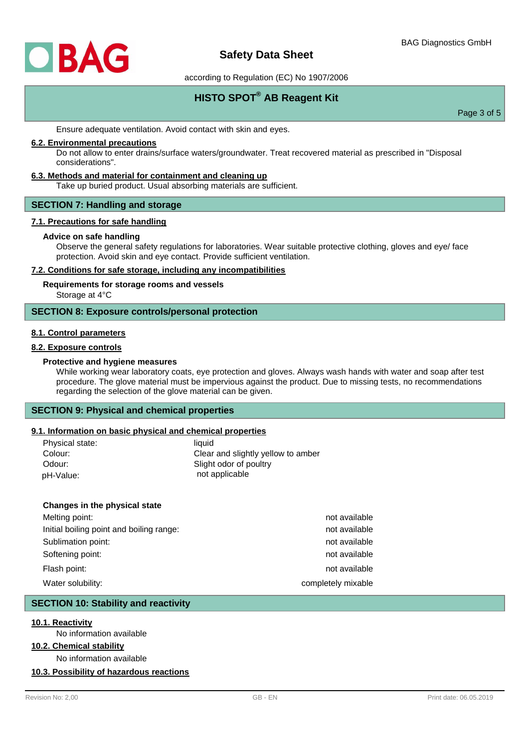

according to Regulation (EC) No 1907/2006

# **HISTO SPOT® AB Reagent Kit**

Page 3 of 5

Ensure adequate ventilation. Avoid contact with skin and eyes.

### **6.2. Environmental precautions**

Do not allow to enter drains/surface waters/groundwater. Treat recovered material as prescribed in "Disposal considerations".

#### **6.3. Methods and material for containment and cleaning up**

Take up buried product. Usual absorbing materials are sufficient.

### **SECTION 7: Handling and storage**

#### **7.1. Precautions for safe handling**

#### **Advice on safe handling**

Observe the general safety regulations for laboratories. Wear suitable protective clothing, gloves and eye/ face protection. Avoid skin and eye contact. Provide sufficient ventilation.

#### **7.2. Conditions for safe storage, including any incompatibilities**

#### **Requirements for storage rooms and vessels**

Storage at 4°C

# **SECTION 8: Exposure controls/personal protection**

### **8.1. Control parameters**

## **8.2. Exposure controls**

#### **Protective and hygiene measures**

While working wear laboratory coats, eye protection and gloves. Always wash hands with water and soap after test procedure. The glove material must be impervious against the product. Due to missing tests, no recommendations regarding the selection of the glove material can be given.

# **SECTION 9: Physical and chemical properties**

#### **9.1. Information on basic physical and chemical properties**

| Physical state: | liquid                             |  |
|-----------------|------------------------------------|--|
| Colour:         | Clear and slightly yellow to amber |  |
| Odour:          | Slight odor of poultry             |  |
| pH-Value:       | not applicable                     |  |

#### **Changes in the physical state**

| not available      |
|--------------------|
| not available      |
| not available      |
| not available      |
| not available      |
| completely mixable |
|                    |

## **SECTION 10: Stability and reactivity**

## **10.1. Reactivity**

No information available

## **10.2. Chemical stability**

No information available

## **10.3. Possibility of hazardous reactions**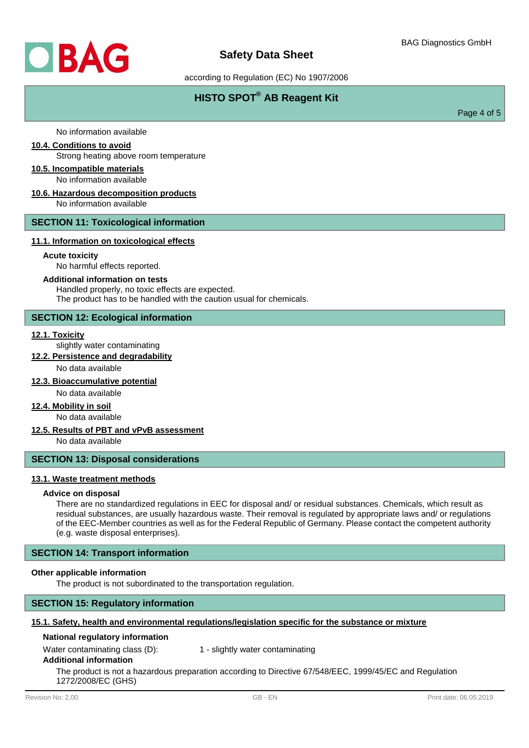according to Regulation (EC) No 1907/2006

# **HISTO SPOT® AB Reagent Kit**

Page 4 of 5

No information available

### **10.4. Conditions to avoid**

Strong heating above room temperature

## **10.5. Incompatible materials**

No information available

## **10.6. Hazardous decomposition products**

No information available

# **SECTION 11: Toxicological information**

#### **11.1. Information on toxicological effects**

## **Acute toxicity**

No harmful effects reported.

#### **Additional information on tests**

Handled properly, no toxic effects are expected. The product has to be handled with the caution usual for chemicals.

## **SECTION 12: Ecological information**

## **12.1. Toxicity**

slightly water contaminating

**12.2. Persistence and degradability**

No data available

## **12.3. Bioaccumulative potential**

No data available

# **12.4. Mobility in soil**

No data available

### **12.5. Results of PBT and vPvB assessment**

No data available

## **SECTION 13: Disposal considerations**

### **13.1. Waste treatment methods**

#### **Advice on disposal**

There are no standardized regulations in EEC for disposal and/ or residual substances. Chemicals, which result as residual substances, are usually hazardous waste. Their removal is regulated by appropriate laws and/ or regulations of the EEC-Member countries as well as for the Federal Republic of Germany. Please contact the competent authority (e.g. waste disposal enterprises).

## **SECTION 14: Transport information**

#### **Other applicable information**

The product is not subordinated to the transportation regulation.

## **SECTION 15: Regulatory information**

## **15.1. Safety, health and environmental regulations/legislation specific for the substance or mixture**

# **National regulatory information**

Water contaminating class (D): 1 - slightly water contaminating

#### **Additional information**

The product is not a hazardous preparation according to Directive 67/548/EEC, 1999/45/EC and Regulation 1272/2008/EC (GHS)